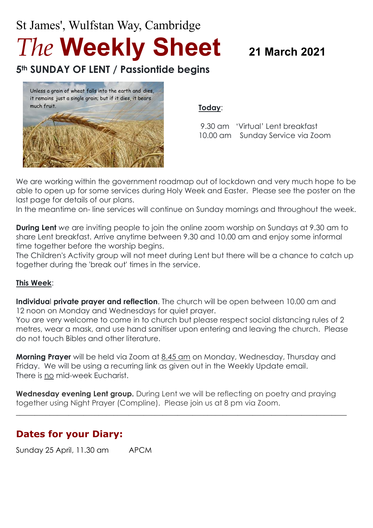# St James', Wulfstan Way, Cambridge *The* **Weekly Sheet <sup>21</sup> March <sup>2021</sup>**

# **5th SUNDAY OF LENT / Passiontide begins**



#### **Today**:

9.30 am 'Virtual' Lent breakfast 10.00 am Sunday Service via Zoom

We are working within the government roadmap out of lockdown and very much hope to be able to open up for some services during Holy Week and Easter. Please see the poster on the last page for details of our plans.

In the meantime on- line services will continue on Sunday mornings and throughout the week.

**During Lent** *we* are inviting people to join the online zoom worship on Sundays at 9.30 am to share Lent breakfast. Arrive anytime between 9.30 and 10.00 am and enjoy some informal time together before the worship begins.

The Children's Activity group will not meet during Lent but there will be a chance to catch up together during the 'break out' times in the service.

#### **This Week**:

**Individua**l **private prayer and reflection**. The church will be open between 10.00 am and 12 noon on Monday and Wednesdays for quiet prayer.

You are very welcome to come in to church but please respect social distancing rules of 2 metres, wear a mask, and use hand sanitiser upon entering and leaving the church. Please do not touch Bibles and other literature.

**Morning Prayer** will be held via Zoom at 8.45 am on Monday, Wednesday, Thursday and Friday. We will be using a recurring link as given out in the Weekly Update email. There is no mid-week Eucharist.

**Wednesday evening Lent group.** During Lent we will be reflecting on poetry and praying together using Night Prayer (Compline). Please join us at 8 pm via Zoom.

 $\_$  , and the set of the set of the set of the set of the set of the set of the set of the set of the set of the set of the set of the set of the set of the set of the set of the set of the set of the set of the set of th

# **Dates for your Diary:**

Sunday 25 April, 11.30 am APCM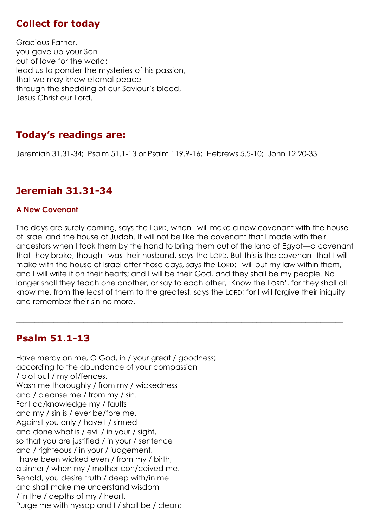### **Collect for today**

Gracious Father, you gave up your Son out of love for the world: lead us to ponder the mysteries of his passion, that we may know eternal peace through the shedding of our Saviour's blood, Jesus Christ our Lord.

## **Today's readings are:**

Jeremiah 31.31-34; Psalm 51.1-13 or Psalm 119.9-16; Hebrews 5.5-10; John 12.20-33

**\_\_\_\_\_\_\_\_\_\_\_\_\_\_\_\_\_\_\_\_\_\_\_\_\_\_\_\_\_\_\_\_\_\_\_\_\_\_\_\_\_\_\_\_\_\_\_\_\_\_\_\_\_\_\_\_\_\_\_\_\_\_\_\_\_\_\_\_\_\_\_\_\_\_\_\_\_\_\_\_\_\_\_\_\_**

 $\_$  , and the set of the set of the set of the set of the set of the set of the set of the set of the set of the set of the set of the set of the set of the set of the set of the set of the set of the set of the set of th

## **Jeremiah 31.31-34**

#### **A New Covenant**

The days are surely coming, says the LORD, when I will make a new covenant with the house of Israel and the house of Judah. It will not be like the covenant that I made with their ancestors when I took them by the hand to bring them out of the land of Egypt—a covenant that they broke, though I was their husband, says the LORD. But this is the covenant that I will make with the house of Israel after those days, says the LORD: I will put my law within them, and I will write it on their hearts; and I will be their God, and they shall be my people. No longer shall they teach one another, or say to each other, 'Know the LORD', for they shall all know me, from the least of them to the greatest, says the LORD; for I will forgive their iniquity, and remember their sin no more.

 $\_$  , and the set of the set of the set of the set of the set of the set of the set of the set of the set of the set of the set of the set of the set of the set of the set of the set of the set of the set of the set of th

### **Psalm 51.1-13**

Have mercy on me, O God, in / your great / goodness; according to the abundance of your compassion / blot out / my of/fences. Wash me thoroughly / from my / wickedness and / cleanse me / from my / sin. For I ac/knowledge my / faults and my / sin is / ever be/fore me. Against you only / have I / sinned and done what is / evil / in your / sight, so that you are justified / in your / sentence and / righteous / in your / judgement. I have been wicked even / from my / birth, a sinner / when my / mother con/ceived me. Behold, you desire truth / deep with/in me and shall make me understand wisdom / in the / depths of my / heart. Purge me with hyssop and I / shall be / clean;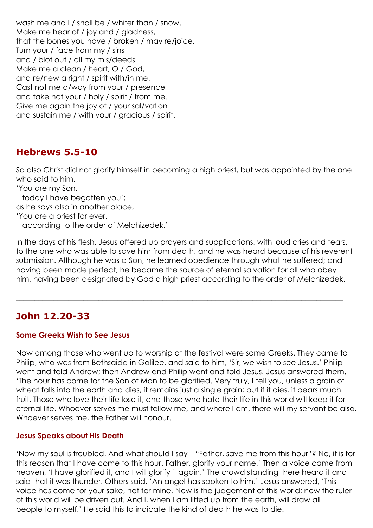wash me and I / shall be / whiter than / snow. Make me hear of / joy and / gladness, that the bones you have / broken / may re/joice. Turn your / face from my / sins and / blot out / all my mis/deeds. Make me a clean / heart, O / God, and re/new a right / spirit with/in me. Cast not me a/way from your / presence and take not your / holy / spirit / from me. Give me again the joy of / your sal/vation and sustain me / with your / gracious / spirit.

### **Hebrews 5.5-10**

So also Christ did not glorify himself in becoming a high priest, but was appointed by the one who said to him,

\_\_\_\_\_\_\_\_\_\_\_\_\_\_\_\_\_\_\_\_\_\_\_\_\_\_\_\_\_\_\_\_\_\_\_\_\_\_\_\_\_\_\_\_\_\_\_\_\_\_\_\_\_\_\_\_\_\_\_\_\_\_\_\_\_\_\_\_\_\_\_\_\_\_\_\_\_\_\_\_\_\_\_\_\_

'You are my Son,

 today I have begotten you'; as he says also in another place, 'You are a priest for ever, according to the order of Melchizedek.'

In the days of his flesh, Jesus offered up prayers and supplications, with loud cries and tears, to the one who was able to save him from death, and he was heard because of his reverent submission. Although he was a Son, he learned obedience through what he suffered; and

having been made perfect, he became the source of eternal salvation for all who obey him, having been designated by God a high priest according to the order of Melchizedek.

 $\_$  , and the set of the set of the set of the set of the set of the set of the set of the set of the set of the set of the set of the set of the set of the set of the set of the set of the set of the set of the set of th

# **John 12.20-33**

#### **Some Greeks Wish to See Jesus**

Now among those who went up to worship at the festival were some Greeks. They came to Philip, who was from Bethsaida in Galilee, and said to him, 'Sir, we wish to see Jesus.' Philip went and told Andrew; then Andrew and Philip went and told Jesus. Jesus answered them, 'The hour has come for the Son of Man to be glorified. Very truly, I tell you, unless a grain of wheat falls into the earth and dies, it remains just a single grain; but if it dies, it bears much fruit. Those who love their life lose it, and those who hate their life in this world will keep it for eternal life. Whoever serves me must follow me, and where I am, there will my servant be also. Whoever serves me, the Father will honour.

#### **Jesus Speaks about His Death**

'Now my soul is troubled. And what should I say—"Father, save me from this hour"? No, it is for this reason that I have come to this hour. Father, glorify your name.' Then a voice came from heaven, 'I have glorified it, and I will glorify it again.' The crowd standing there heard it and said that it was thunder. Others said, 'An angel has spoken to him.' Jesus answered, 'This voice has come for your sake, not for mine. Now is the judgement of this world; now the ruler of this world will be driven out. And I, when I am lifted up from the earth, will draw all people to myself.' He said this to indicate the kind of death he was to die.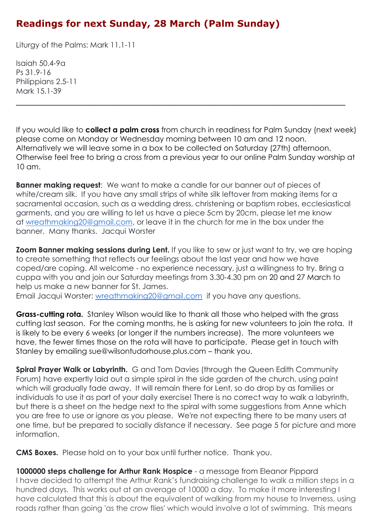# **Readings for next Sunday, 28 March (Palm Sunday)**

Liturgy of the Palms: Mark 11.1-11

Isaiah 50.4-9a Ps 31.9-16 Philippians 2.5-11 Mark 15.1-39

If you would like to **collect a palm cross** from church in readiness for Palm Sunday (next week) please come on Monday or Wednesday morning between 10 am and 12 noon. Alternatively we will leave some in a box to be collected on Saturday (27th) afternoon. Otherwise feel free to bring a cross from a previous year to our online Palm Sunday worship at 10 am.

\_\_\_\_\_\_\_\_\_\_\_\_\_\_\_\_\_\_\_\_\_\_\_\_\_\_\_\_\_\_\_\_\_\_\_\_\_\_\_\_\_\_\_\_\_\_\_\_\_\_\_\_\_\_\_\_\_

**Banner making request**: We want to make a candle for our banner out of pieces of white/cream silk. If you have any small strips of white silk leftover from making items for a sacramental occasion, such as a wedding dress, christening or baptism robes, ecclesiastical garments, and you are willing to let us have a piece 5cm by 20cm, please let me know at [wreathmaking20@gmail.com,](mailto:wreathmaking20@gmail.com) or leave it in the church for me in the box under the banner. Many thanks. Jacqui Worster

**Zoom Banner making sessions during Lent.** If you like to sew or just want to try, we are hoping to create something that reflects our feelings about the last year and how we have coped/are coping. All welcome - no experience necessary, just a willingness to try. Bring a cuppa with you and join our Saturday meetings from 3.30-4.30 pm on 20 and 27 March to help us make a new banner for St. James.

Email Jacqui Worster: [wreathmaking20@gmail.com](mailto:wreathmaking20@gmail.com) if you have any questions.

**Grass-cutting rota.** Stanley Wilson would like to thank all those who helped with the grass cutting last season. For the coming months, he is asking for new volunteers to join the rota. It is likely to be every 6 weeks (or longer if the numbers increase). The more volunteers we have, the fewer times those on the rota will have to participate. Please get in touch with Stanley by emailing sue@wilsontudorhouse.plus.com – thank you.

**Spiral Prayer Walk or Labyrinth.** G and Tom Davies (through the Queen Edith Community Forum) have expertly laid out a simple spiral in the side garden of the church, using paint which will gradually fade away. It will remain there for Lent, so do drop by as families or individuals to use it as part of your daily exercise! There is no correct way to walk a labyrinth, but there is a sheet on the hedge next to the spiral with some suggestions from Anne which you are free to use or ignore as you please. We're not expecting there to be many users at one time, but be prepared to socially distance if necessary. See page 5 for picture and more information.

**CMS Boxes.** Please hold on to your box until further notice. Thank you.

**1000000 steps challenge for Arthur Rank Hospice** - a message from Eleanor Pippard I have decided to attempt the Arthur Rank's fundraising challenge to walk a million steps in a hundred days. This works out at an average of 10000 a day. To make it more interesting I have calculated that this is about the equivalent of walking from my house to Inverness, using roads rather than going 'as the crow flies' which would involve a lot of swimming. This means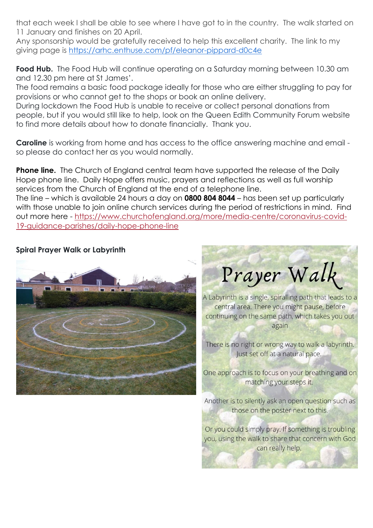that each week I shall be able to see where I have got to in the country. The walk started on 11 January and finishes on 20 April.

Any sponsorship would be gratefully received to help this excellent charity. The link to my giving page is <https://arhc.enthuse.com/pf/eleanor-pippard-d0c4e>

**Food Hub.** The Food Hub will continue operating on a Saturday morning between 10.30 am and 12.30 pm here at St James'.

The food remains a basic food package ideally for those who are either struggling to pay for provisions or who cannot get to the shops or book an online delivery.

During lockdown the Food Hub is unable to receive or collect personal donations from people, but if you would still like to help, look on the Queen Edith Community Forum website to find more details about how to donate financially. Thank you.

**Caroline** is working from home and has access to the office answering machine and email so please do contact her as you would normally.

**Phone line.** The Church of England central team have supported the release of the Daily Hope phone line. Daily Hope offers music, prayers and reflections as well as full worship services from the Church of England at the end of a telephone line.

The line – which is available 24 hours a day on **0800 804 8044** – has been set up particularly with those unable to join online church services during the period of restrictions in mind. Find out more here - [https://www.churchofengland.org/more/media-centre/coronavirus-covid-](https://www.churchofengland.org/more/media-centre/coronavirus-covid-19-guidance-parishes/daily-hope-phone-line)[19-guidance-parishes/daily-hope-phone-line](https://www.churchofengland.org/more/media-centre/coronavirus-covid-19-guidance-parishes/daily-hope-phone-line)

#### **Spiral Prayer Walk or Labyrinth**



Prayer Walk

A Labyrinth is a single, spiralling path that leads to a central area. There you might pause, before continuing on the same path, which takes you out again

There is no right or wrong way to walk a labyrinth. lust set off at a natural pace.

One approach is to focus on your breathing and on matching your steps it.

Another is to silently ask an open question such as those on the poster next to this.

Or you could simply pray. If something is troubling you, using the walk to share that concern with God can really help.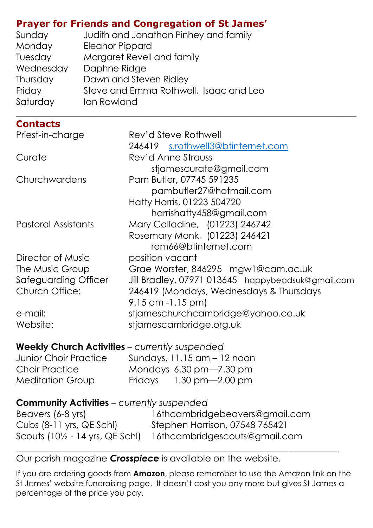### **Prayer for Friends and Congregation of St James'**

| Sunday    | Judith and Jonathan Pinhey and family  |
|-----------|----------------------------------------|
| Monday    | Eleanor Pippard                        |
| Tuesday   | Margaret Revell and family             |
| Wednesday | Daphne Ridge                           |
| Thursday  | Dawn and Steven Ridley                 |
| Friday    | Steve and Emma Rothwell, Isaac and Leo |
| Saturday  | Ian Rowland                            |
|           |                                        |

| <b>Contacts</b>            |                                                   |
|----------------------------|---------------------------------------------------|
| Priest-in-charge           | Rev'd Steve Rothwell                              |
|                            | 246419 s.rothwell3@btinternet.com                 |
| Curate                     | Rev'd Anne Strauss                                |
|                            | stjamescurate@gmail.com                           |
| Churchwardens              | Pam Butler, 07745 591235                          |
|                            | pambutler27@hotmail.com                           |
|                            | Hatty Harris, 01223 504720                        |
|                            | harrishatty458@gmail.com                          |
| <b>Pastoral Assistants</b> | Mary Calladine, (01223) 246742                    |
|                            | Rosemary Monk, (01223) 246421                     |
|                            | rem66@btinternet.com                              |
| Director of Music          | position vacant                                   |
| The Music Group            | Grae Worster, 846295 mgwl@cam.ac.uk               |
| Safeguarding Officer       | Jill Bradley, 07971 013645 happybeadsuk@gmail.com |
| <b>Church Office:</b>      | 246419 (Mondays, Wednesdays & Thursdays           |
|                            | $9.15$ am $-1.15$ pm)                             |
| e-mail:                    | stjameschurchcambridge@yahoo.co.uk                |
| Website:                   | stjamescambridge.org.uk                           |
|                            |                                                   |

### **Weekly Church Activities** – *currently suspended*

Junior Choir Practice Sundays, 11.15 am – 12 noon Choir Practice Mondays 6.30 pm—7.30 pm Meditation Group Fridays 1.30 pm—2.00 pm

# **Community Activities** – *currently suspended* Beavers (6-8 yrs) 16thcambridgebeavers@gmail.com Cubs (8-11 yrs, QE Schl) Stephen Harrison, 07548 765421 Scouts (10½ - 14 yrs, QE Schl) 16thcambridgescouts@gmail.com

Our parish magazine *Crosspiece* is available on the website.

If you are ordering goods from **Amazon**, please remember to use the Amazon link on the St James' website fundraising page. It doesn't cost you any more but gives St James a percentage of the price you pay.

**\_\_\_\_\_\_\_\_\_\_\_\_\_\_\_\_\_\_\_\_\_\_\_\_\_\_\_\_\_\_\_\_\_\_\_\_\_\_\_\_\_\_\_\_\_\_\_\_\_\_\_\_\_\_\_\_\_\_\_\_\_\_\_\_\_\_\_\_\_\_\_**